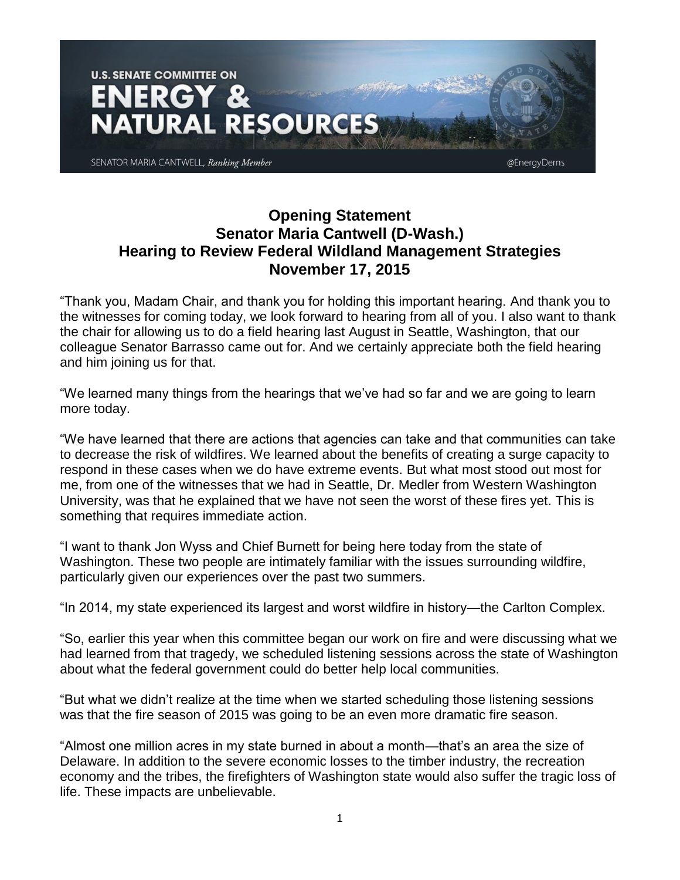

## **Opening Statement Senator Maria Cantwell (D-Wash.) Hearing to Review Federal Wildland Management Strategies November 17, 2015**

"Thank you, Madam Chair, and thank you for holding this important hearing. And thank you to the witnesses for coming today, we look forward to hearing from all of you. I also want to thank the chair for allowing us to do a field hearing last August in Seattle, Washington, that our colleague Senator Barrasso came out for. And we certainly appreciate both the field hearing and him joining us for that.

"We learned many things from the hearings that we've had so far and we are going to learn more today.

"We have learned that there are actions that agencies can take and that communities can take to decrease the risk of wildfires. We learned about the benefits of creating a surge capacity to respond in these cases when we do have extreme events. But what most stood out most for me, from one of the witnesses that we had in Seattle, Dr. Medler from Western Washington University, was that he explained that we have not seen the worst of these fires yet. This is something that requires immediate action.

"I want to thank Jon Wyss and Chief Burnett for being here today from the state of Washington. These two people are intimately familiar with the issues surrounding wildfire, particularly given our experiences over the past two summers.

"In 2014, my state experienced its largest and worst wildfire in history—the Carlton Complex.

"So, earlier this year when this committee began our work on fire and were discussing what we had learned from that tragedy, we scheduled listening sessions across the state of Washington about what the federal government could do better help local communities.

"But what we didn't realize at the time when we started scheduling those listening sessions was that the fire season of 2015 was going to be an even more dramatic fire season.

"Almost one million acres in my state burned in about a month—that's an area the size of Delaware. In addition to the severe economic losses to the timber industry, the recreation economy and the tribes, the firefighters of Washington state would also suffer the tragic loss of life. These impacts are unbelievable.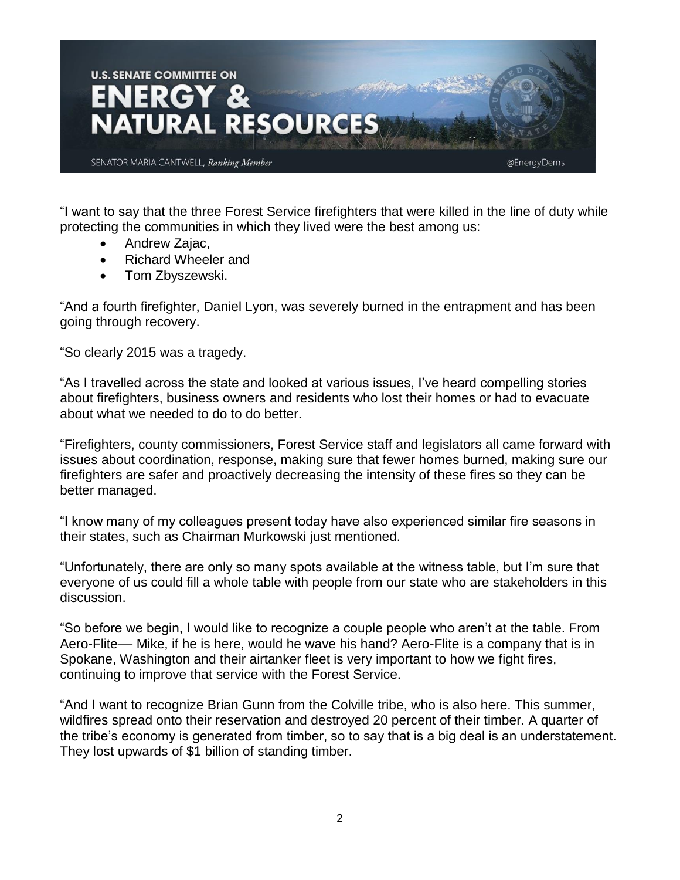

"I want to say that the three Forest Service firefighters that were killed in the line of duty while protecting the communities in which they lived were the best among us:

- Andrew Zajac,
- Richard Wheeler and
- Tom Zbyszewski.

"And a fourth firefighter, Daniel Lyon, was severely burned in the entrapment and has been going through recovery.

"So clearly 2015 was a tragedy.

"As I travelled across the state and looked at various issues, I've heard compelling stories about firefighters, business owners and residents who lost their homes or had to evacuate about what we needed to do to do better.

"Firefighters, county commissioners, Forest Service staff and legislators all came forward with issues about coordination, response, making sure that fewer homes burned, making sure our firefighters are safer and proactively decreasing the intensity of these fires so they can be better managed.

"I know many of my colleagues present today have also experienced similar fire seasons in their states, such as Chairman Murkowski just mentioned.

"Unfortunately, there are only so many spots available at the witness table, but I'm sure that everyone of us could fill a whole table with people from our state who are stakeholders in this discussion.

"So before we begin, I would like to recognize a couple people who aren't at the table. From Aero-Flite–– Mike, if he is here, would he wave his hand? Aero-Flite is a company that is in Spokane, Washington and their airtanker fleet is very important to how we fight fires, continuing to improve that service with the Forest Service.

"And I want to recognize Brian Gunn from the Colville tribe, who is also here. This summer, wildfires spread onto their reservation and destroyed 20 percent of their timber. A quarter of the tribe's economy is generated from timber, so to say that is a big deal is an understatement. They lost upwards of \$1 billion of standing timber.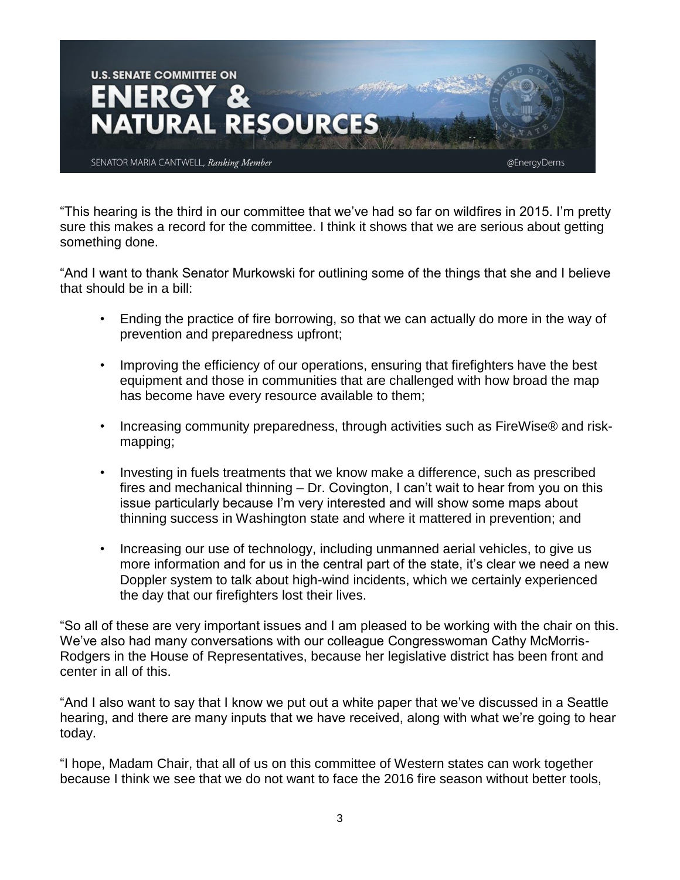

"This hearing is the third in our committee that we've had so far on wildfires in 2015. I'm pretty sure this makes a record for the committee. I think it shows that we are serious about getting something done.

"And I want to thank Senator Murkowski for outlining some of the things that she and I believe that should be in a bill:

- Ending the practice of fire borrowing, so that we can actually do more in the way of prevention and preparedness upfront;
- Improving the efficiency of our operations, ensuring that firefighters have the best equipment and those in communities that are challenged with how broad the map has become have every resource available to them;
- Increasing community preparedness, through activities such as FireWise® and riskmapping;
- Investing in fuels treatments that we know make a difference, such as prescribed fires and mechanical thinning – Dr. Covington, I can't wait to hear from you on this issue particularly because I'm very interested and will show some maps about thinning success in Washington state and where it mattered in prevention; and
- Increasing our use of technology, including unmanned aerial vehicles, to give us more information and for us in the central part of the state, it's clear we need a new Doppler system to talk about high-wind incidents, which we certainly experienced the day that our firefighters lost their lives.

"So all of these are very important issues and I am pleased to be working with the chair on this. We've also had many conversations with our colleague Congresswoman Cathy McMorris-Rodgers in the House of Representatives, because her legislative district has been front and center in all of this.

"And I also want to say that I know we put out a white paper that we've discussed in a Seattle hearing, and there are many inputs that we have received, along with what we're going to hear today.

"I hope, Madam Chair, that all of us on this committee of Western states can work together because I think we see that we do not want to face the 2016 fire season without better tools,